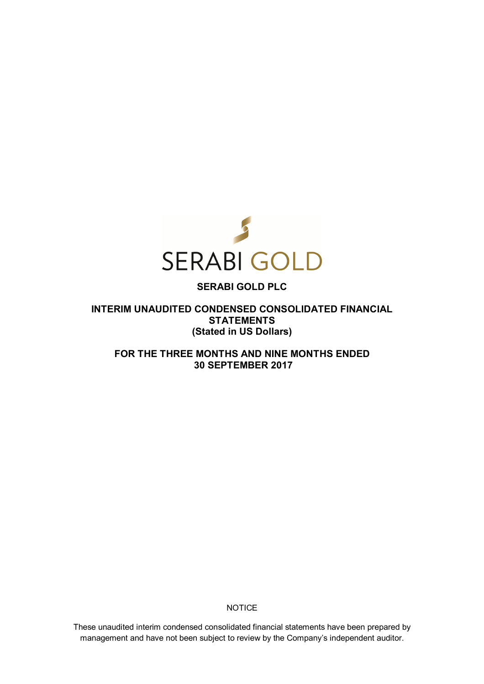

# **SERABI GOLD PLC**

**INTERIM UNAUDITED CONDENSED CONSOLIDATED FINANCIAL STATEMENTS (Stated in US Dollars)** 

**FOR THE THREE MONTHS AND NINE MONTHS ENDED 30 SEPTEMBER 2017** 

**NOTICE** 

These unaudited interim condensed consolidated financial statements have been prepared by management and have not been subject to review by the Company's independent auditor.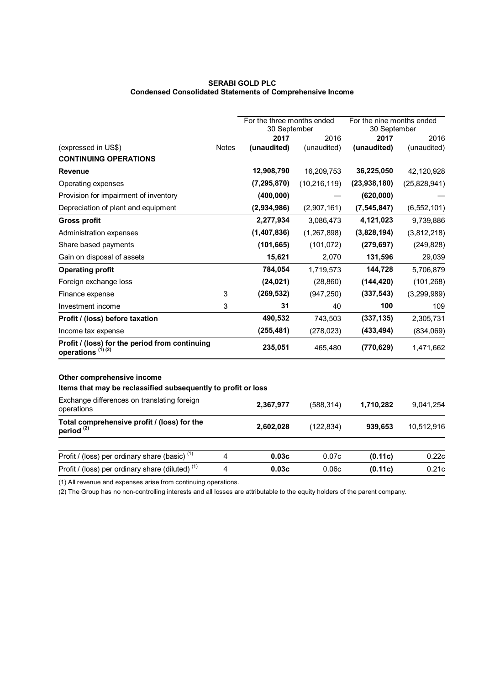### **SERABI GOLD PLC Condensed Consolidated Statements of Comprehensive Income**

|                                                                                             |              | For the three months ended<br>30 September |                | For the nine months ended<br>30 September |               |
|---------------------------------------------------------------------------------------------|--------------|--------------------------------------------|----------------|-------------------------------------------|---------------|
|                                                                                             |              | 2017                                       | 2016           | 2017                                      | 2016          |
| (expressed in US\$)                                                                         | <b>Notes</b> | (unaudited)                                | (unaudited)    | (unaudited)                               | (unaudited)   |
| <b>CONTINUING OPERATIONS</b>                                                                |              |                                            |                |                                           |               |
| <b>Revenue</b>                                                                              |              | 12,908,790                                 | 16,209,753     | 36,225,050                                | 42,120,928    |
| Operating expenses                                                                          |              | (7, 295, 870)                              | (10, 216, 119) | (23,938,180)                              | (25,828,941)  |
| Provision for impairment of inventory                                                       |              | (400, 000)                                 |                | (620,000)                                 |               |
| Depreciation of plant and equipment                                                         |              | (2,934,986)                                | (2,907,161)    | (7, 545, 847)                             | (6, 552, 101) |
| <b>Gross profit</b>                                                                         |              | 2,277,934                                  | 3,086,473      | 4,121,023                                 | 9,739,886     |
| Administration expenses                                                                     |              | (1,407,836)                                | (1, 267, 898)  | (3,828,194)                               | (3,812,218)   |
| Share based payments                                                                        |              | (101, 665)                                 | (101, 072)     | (279, 697)                                | (249, 828)    |
| Gain on disposal of assets                                                                  |              | 15,621                                     | 2,070          | 131,596                                   | 29,039        |
| <b>Operating profit</b>                                                                     |              | 784,054                                    | 1,719,573      | 144,728                                   | 5,706,879     |
| Foreign exchange loss                                                                       |              | (24, 021)                                  | (28, 860)      | (144, 420)                                | (101, 268)    |
| Finance expense                                                                             | 3            | (269, 532)                                 | (947, 250)     | (337, 543)                                | (3,299,989)   |
| Investment income                                                                           | 3            | 31                                         | 40             | 100                                       | 109           |
| Profit / (loss) before taxation                                                             |              | 490,532                                    | 743,503        | (337, 135)                                | 2,305,731     |
| Income tax expense                                                                          |              | (255, 481)                                 | (278, 023)     | (433, 494)                                | (834,069)     |
| Profit / (loss) for the period from continuing<br>operations <sup>(1)(2)</sup>              |              | 235,051                                    | 465,480        | (770, 629)                                | 1,471,662     |
| Other comprehensive income<br>Items that may be reclassified subsequently to profit or loss |              |                                            |                |                                           |               |
| Exchange differences on translating foreign<br>operations                                   |              | 2,367,977                                  | (588, 314)     | 1,710,282                                 | 9,041,254     |
| Total comprehensive profit / (loss) for the<br>period <sup>(2)</sup>                        |              | 2,602,028                                  | (122, 834)     | 939,653                                   | 10,512,916    |
| Profit / (loss) per ordinary share (basic) <sup>(1)</sup>                                   | 4            | 0.03c                                      | 0.07c          | (0.11c)                                   | 0.22c         |
| Profit / (loss) per ordinary share (diluted) <sup>(1)</sup>                                 | 4            | 0.03c                                      | 0.06c          | (0.11c)                                   | 0.21c         |
| $(1)$ All revenue and expenses arise from continuing eperations                             |              |                                            |                |                                           |               |

(1) All revenue and expenses arise from continuing operations.

(2) The Group has no non-controlling interests and all losses are attributable to the equity holders of the parent company.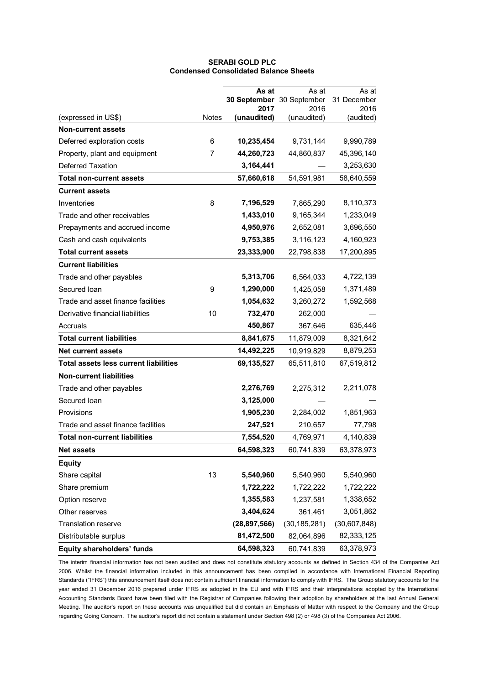|                                              |              | As at                     | As at               | As at             |
|----------------------------------------------|--------------|---------------------------|---------------------|-------------------|
|                                              |              | 30 September 30 September |                     | 31 December       |
| (expressed in US\$)                          | <b>Notes</b> | 2017<br>(unaudited)       | 2016<br>(unaudited) | 2016<br>(audited) |
| <b>Non-current assets</b>                    |              |                           |                     |                   |
| Deferred exploration costs                   | 6            | 10,235,454                | 9,731,144           | 9,990,789         |
| Property, plant and equipment                | 7            | 44,260,723                | 44,860,837          | 45,396,140        |
| <b>Deferred Taxation</b>                     |              | 3,164,441                 |                     | 3,253,630         |
| Total non-current assets                     |              | 57,660,618                | 54,591,981          | 58,640,559        |
| <b>Current assets</b>                        |              |                           |                     |                   |
| Inventories                                  | 8            | 7,196,529                 | 7,865,290           | 8,110,373         |
| Trade and other receivables                  |              | 1,433,010                 | 9,165,344           | 1,233,049         |
| Prepayments and accrued income               |              | 4,950,976                 | 2,652,081           | 3,696,550         |
| Cash and cash equivalents                    |              | 9,753,385                 | 3,116,123           | 4,160,923         |
| <b>Total current assets</b>                  |              | 23,333,900                | 22,798,838          | 17,200,895        |
| <b>Current liabilities</b>                   |              |                           |                     |                   |
| Trade and other payables                     |              | 5,313,706                 | 6,564,033           | 4,722,139         |
| Secured Ioan                                 | 9            | 1,290,000                 | 1,425,058           | 1,371,489         |
| Trade and asset finance facilities           |              | 1,054,632                 | 3,260,272           | 1,592,568         |
| Derivative financial liabilities             | 10           | 732,470                   | 262,000             |                   |
| Accruals                                     |              | 450,867                   | 367,646             | 635,446           |
| <b>Total current liabilities</b>             |              | 8,841,675                 | 11,879,009          | 8,321,642         |
| <b>Net current assets</b>                    |              | 14,492,225                | 10,919,829          | 8,879,253         |
| <b>Total assets less current liabilities</b> |              | 69,135,527                | 65,511,810          | 67,519,812        |
| <b>Non-current liabilities</b>               |              |                           |                     |                   |
| Trade and other payables                     |              | 2,276,769                 | 2,275,312           | 2,211,078         |
| Secured loan                                 |              | 3,125,000                 |                     |                   |
| Provisions                                   |              | 1,905,230                 | 2,284,002           | 1,851,963         |
| Trade and asset finance facilities           |              | 247,521                   | 210,657             | 77,798            |
| <b>Total non-current liabilities</b>         |              | 7,554,520                 | 4,769,971           | 4,140,839         |
| <b>Net assets</b>                            |              | 64,598,323                | 60,741,839          | 63,378,973        |
| <b>Equity</b>                                |              |                           |                     |                   |
| Share capital                                | 13           | 5,540,960                 | 5,540,960           | 5,540,960         |
| Share premium                                |              | 1,722,222                 | 1,722,222           | 1,722,222         |
| Option reserve                               |              | 1,355,583                 | 1,237,581           | 1,338,652         |
| Other reserves                               |              | 3,404,624                 | 361,461             | 3,051,862         |
| Translation reserve                          |              | (28, 897, 566)            | (30, 185, 281)      | (30,607,848)      |
| Distributable surplus                        |              | 81,472,500                | 82,064,896          | 82,333,125        |
| Equity shareholders' funds                   |              | 64,598,323                | 60,741,839          | 63,378,973        |

### **SERABI GOLD PLC Condensed Consolidated Balance Sheets**

The interim financial information has not been audited and does not constitute statutory accounts as defined in Section 434 of the Companies Act 2006. Whilst the financial information included in this announcement has been compiled in accordance with International Financial Reporting Standards ("IFRS") this announcement itself does not contain sufficient financial information to comply with IFRS. The Group statutory accounts for the year ended 31 December 2016 prepared under IFRS as adopted in the EU and with IFRS and their interpretations adopted by the International Accounting Standards Board have been filed with the Registrar of Companies following their adoption by shareholders at the last Annual General Meeting. The auditor's report on these accounts was unqualified but did contain an Emphasis of Matter with respect to the Company and the Group regarding Going Concern. The auditor's report did not contain a statement under Section 498 (2) or 498 (3) of the Companies Act 2006.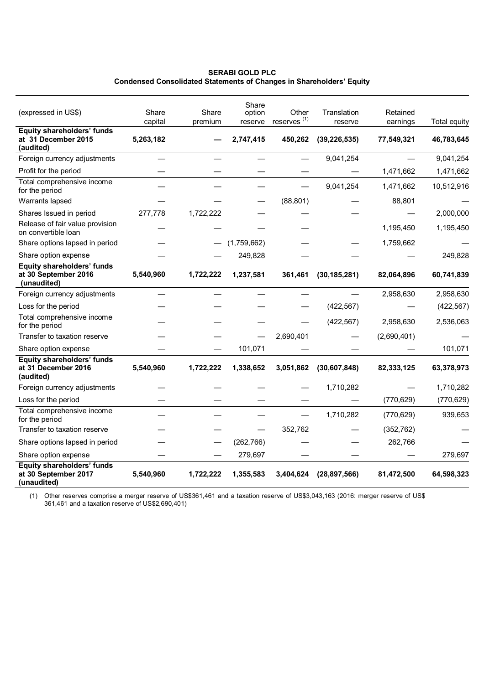### **SERABI GOLD PLC Condensed Consolidated Statements of Changes in Shareholders' Equity**

| (expressed in US\$)                                                      | Share<br>capital | Share<br>premium | Share<br>option<br>reserve | Other<br>reserves <sup>(1)</sup> | Translation<br>reserve | Retained<br>earnings | Total equity |
|--------------------------------------------------------------------------|------------------|------------------|----------------------------|----------------------------------|------------------------|----------------------|--------------|
| Equity shareholders' funds<br>at 31 December 2015<br>(audited)           | 5,263,182        |                  | 2,747,415                  | 450,262                          | (39, 226, 535)         | 77,549,321           | 46,783,645   |
| Foreign currency adjustments                                             |                  |                  |                            |                                  | 9,041,254              |                      | 9,041,254    |
| Profit for the period                                                    |                  |                  |                            |                                  |                        | 1,471,662            | 1,471,662    |
| Total comprehensive income<br>for the period                             |                  |                  |                            |                                  | 9,041,254              | 1,471,662            | 10,512,916   |
| Warrants lapsed                                                          |                  |                  |                            | (88, 801)                        |                        | 88,801               |              |
| Shares Issued in period                                                  | 277,778          | 1,722,222        |                            |                                  |                        |                      | 2,000,000    |
| Release of fair value provision<br>on convertible loan                   |                  |                  |                            |                                  |                        | 1,195,450            | 1,195,450    |
| Share options lapsed in period                                           |                  |                  | (1,759,662)                |                                  |                        | 1,759,662            |              |
| Share option expense                                                     |                  |                  | 249,828                    |                                  |                        |                      | 249,828      |
| <b>Equity shareholders' funds</b><br>at 30 September 2016<br>(unaudited) | 5,540,960        | 1,722,222        | 1,237,581                  | 361,461                          | (30, 185, 281)         | 82,064,896           | 60,741,839   |
| Foreign currency adjustments                                             |                  |                  |                            |                                  |                        | 2,958,630            | 2,958,630    |
| Loss for the period                                                      |                  |                  |                            |                                  | (422, 567)             |                      | (422, 567)   |
| Total comprehensive income<br>for the period                             |                  |                  |                            |                                  | (422, 567)             | 2,958,630            | 2,536,063    |
| Transfer to taxation reserve                                             |                  |                  |                            | 2,690,401                        |                        | (2,690,401)          |              |
| Share option expense                                                     |                  |                  | 101,071                    |                                  |                        |                      | 101,071      |
| <b>Equity shareholders' funds</b><br>at 31 December 2016<br>(audited)    | 5,540,960        | 1,722,222        | 1,338,652                  | 3,051,862                        | (30,607,848)           | 82,333,125           | 63,378,973   |
| Foreign currency adjustments                                             |                  |                  |                            |                                  | 1,710,282              |                      | 1,710,282    |
| Loss for the period                                                      |                  |                  |                            |                                  |                        | (770, 629)           | (770, 629)   |
| Total comprehensive income<br>for the period                             |                  |                  |                            |                                  | 1,710,282              | (770, 629)           | 939,653      |
| Transfer to taxation reserve                                             |                  |                  |                            | 352,762                          |                        | (352, 762)           |              |
| Share options lapsed in period                                           |                  |                  | (262, 766)                 |                                  |                        | 262,766              |              |
| Share option expense                                                     |                  |                  | 279,697                    |                                  |                        |                      | 279,697      |
| Equity shareholders' funds<br>at 30 September 2017<br>(unaudited)        | 5,540,960        | 1,722,222        | 1,355,583                  | 3,404,624                        | (28, 897, 566)         | 81,472,500           | 64,598,323   |

(1) Other reserves comprise a merger reserve of US\$361,461 and a taxation reserve of US\$3,043,163 (2016: merger reserve of US\$ 361,461 and a taxation reserve of US\$2,690,401)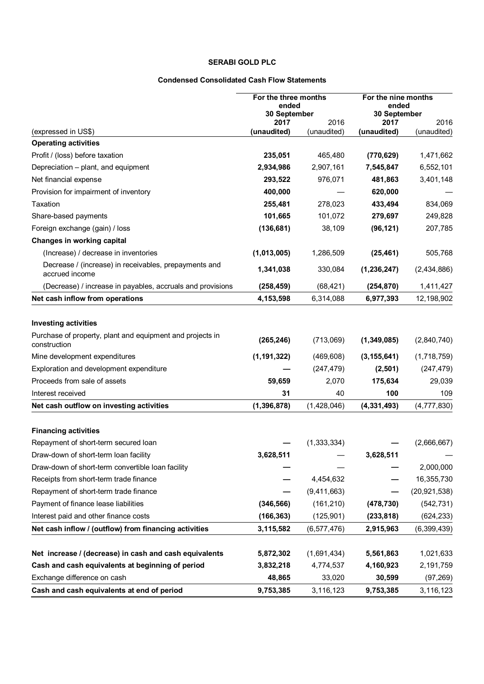# **SERABI GOLD PLC**

### **Condensed Consolidated Cash Flow Statements**

|                                                                           | For the three months<br>ended |                     | For the nine months<br>ended |                     |
|---------------------------------------------------------------------------|-------------------------------|---------------------|------------------------------|---------------------|
|                                                                           | 30 September                  |                     | 30 September                 |                     |
| (expressed in US\$)                                                       | 2017<br>(unaudited)           | 2016<br>(unaudited) | 2017<br>(unaudited)          | 2016<br>(unaudited) |
| <b>Operating activities</b>                                               |                               |                     |                              |                     |
| Profit / (loss) before taxation                                           | 235,051                       | 465,480             | (770, 629)                   | 1,471,662           |
| Depreciation - plant, and equipment                                       | 2,934,986                     | 2,907,161           | 7,545,847                    | 6,552,101           |
| Net financial expense                                                     | 293,522                       | 976,071             | 481,863                      | 3,401,148           |
| Provision for impairment of inventory                                     | 400,000                       |                     | 620,000                      |                     |
| Taxation                                                                  | 255,481                       | 278,023             | 433,494                      | 834,069             |
| Share-based payments                                                      | 101,665                       | 101,072             | 279,697                      | 249,828             |
| Foreign exchange (gain) / loss                                            | (136, 681)                    | 38,109              | (96, 121)                    | 207,785             |
| Changes in working capital                                                |                               |                     |                              |                     |
| (Increase) / decrease in inventories                                      | (1,013,005)                   | 1,286,509           | (25, 461)                    | 505,768             |
| Decrease / (increase) in receivables, prepayments and<br>accrued income   | 1,341,038                     | 330,084             | (1, 236, 247)                | (2,434,886)         |
| (Decrease) / increase in payables, accruals and provisions                | (258, 459)                    | (68, 421)           | (254, 870)                   | 1,411,427           |
| Net cash inflow from operations                                           | 4,153,598                     | 6,314,088           | 6,977,393                    | 12,198,902          |
|                                                                           |                               |                     |                              |                     |
| <b>Investing activities</b>                                               |                               |                     |                              |                     |
| Purchase of property, plant and equipment and projects in<br>construction | (265, 246)                    | (713,069)           | (1,349,085)                  | (2,840,740)         |
| Mine development expenditures                                             | (1, 191, 322)                 | (469, 608)          | (3, 155, 641)                | (1,718,759)         |
| Exploration and development expenditure                                   |                               | (247, 479)          | (2,501)                      | (247, 479)          |
| Proceeds from sale of assets                                              | 59,659                        | 2,070               | 175,634                      | 29,039              |
| Interest received                                                         | 31                            | 40                  | 100                          | 109                 |
| Net cash outflow on investing activities                                  | (1, 396, 878)                 | (1,428,046)         | (4, 331, 493)                | (4,777,830)         |
|                                                                           |                               |                     |                              |                     |
| <b>Financing activities</b>                                               |                               |                     |                              |                     |
| Repayment of short-term secured loan                                      |                               | (1, 333, 334)       |                              | (2,666,667)         |
| Draw-down of short-term loan facility                                     | 3,628,511                     |                     | 3,628,511                    |                     |
| Draw-down of short-term convertible loan facility                         |                               |                     |                              | 2,000,000           |
| Receipts from short-term trade finance                                    |                               | 4,454,632           |                              | 16,355,730          |
| Repayment of short-term trade finance                                     |                               | (9,411,663)         |                              | (20, 921, 538)      |
| Payment of finance lease liabilities                                      | (346, 566)                    | (161, 210)          | (478, 730)                   | (542, 731)          |
| Interest paid and other finance costs                                     | (166, 363)                    | (125, 901)          | (233, 818)                   | (624, 233)          |
| Net cash inflow / (outflow) from financing activities                     | 3,115,582                     | (6, 577, 476)       | 2,915,963                    | (6,399,439)         |
|                                                                           |                               |                     |                              |                     |
| Net increase / (decrease) in cash and cash equivalents                    | 5,872,302                     | (1,691,434)         | 5,561,863                    | 1,021,633           |
| Cash and cash equivalents at beginning of period                          | 3,832,218                     | 4,774,537           | 4,160,923                    | 2,191,759           |
| Exchange difference on cash                                               | 48,865                        | 33,020              | 30,599                       | (97, 269)           |
| Cash and cash equivalents at end of period                                | 9,753,385                     | 3,116,123           | 9,753,385                    | 3,116,123           |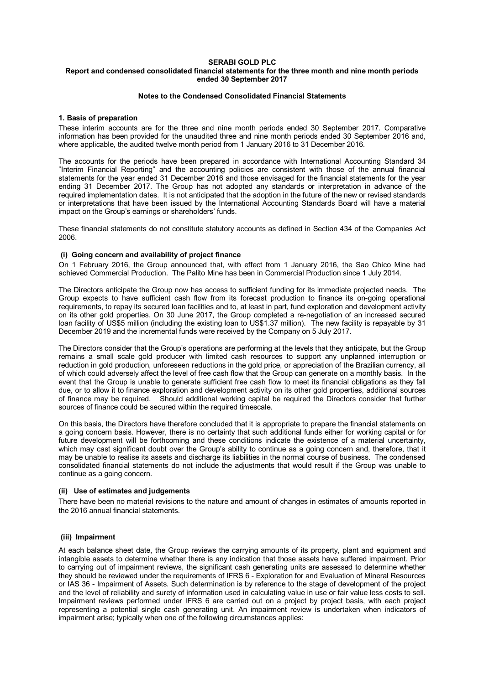#### **SERABI GOLD PLC Report and condensed consolidated financial statements for the three month and nine month periods ended 30 September 2017**

### **Notes to the Condensed Consolidated Financial Statements**

### **1. Basis of preparation**

These interim accounts are for the three and nine month periods ended 30 September 2017. Comparative information has been provided for the unaudited three and nine month periods ended 30 September 2016 and, where applicable, the audited twelve month period from 1 January 2016 to 31 December 2016.

The accounts for the periods have been prepared in accordance with International Accounting Standard 34 "Interim Financial Reporting" and the accounting policies are consistent with those of the annual financial statements for the year ended 31 December 2016 and those envisaged for the financial statements for the year ending 31 December 2017. The Group has not adopted any standards or interpretation in advance of the required implementation dates. It is not anticipated that the adoption in the future of the new or revised standards or interpretations that have been issued by the International Accounting Standards Board will have a material impact on the Group's earnings or shareholders' funds.

These financial statements do not constitute statutory accounts as defined in Section 434 of the Companies Act 2006.

### **(i) Going concern and availability of project finance**

On 1 February 2016, the Group announced that, with effect from 1 January 2016, the Sao Chico Mine had achieved Commercial Production. The Palito Mine has been in Commercial Production since 1 July 2014.

The Directors anticipate the Group now has access to sufficient funding for its immediate projected needs. The Group expects to have sufficient cash flow from its forecast production to finance its on-going operational requirements, to repay its secured loan facilities and to, at least in part, fund exploration and development activity on its other gold properties. On 30 June 2017, the Group completed a re-negotiation of an increased secured loan facility of US\$5 million (including the existing loan to US\$1.37 million). The new facility is repayable by 31 December 2019 and the incremental funds were received by the Company on 5 July 2017.

The Directors consider that the Group's operations are performing at the levels that they anticipate, but the Group remains a small scale gold producer with limited cash resources to support any unplanned interruption or reduction in gold production, unforeseen reductions in the gold price, or appreciation of the Brazilian currency, all of which could adversely affect the level of free cash flow that the Group can generate on a monthly basis. In the event that the Group is unable to generate sufficient free cash flow to meet its financial obligations as they fall due, or to allow it to finance exploration and development activity on its other gold properties, additional sources of finance may be required. Should additional working capital be required the Directors consider that further sources of finance could be secured within the required timescale.

On this basis, the Directors have therefore concluded that it is appropriate to prepare the financial statements on a going concern basis. However, there is no certainty that such additional funds either for working capital or for future development will be forthcoming and these conditions indicate the existence of a material uncertainty, which may cast significant doubt over the Group's ability to continue as a going concern and, therefore, that it may be unable to realise its assets and discharge its liabilities in the normal course of business. The condensed consolidated financial statements do not include the adjustments that would result if the Group was unable to continue as a going concern.

### **(ii) Use of estimates and judgements**

There have been no material revisions to the nature and amount of changes in estimates of amounts reported in the 2016 annual financial statements.

### **(iii) Impairment**

At each balance sheet date, the Group reviews the carrying amounts of its property, plant and equipment and intangible assets to determine whether there is any indication that those assets have suffered impairment. Prior to carrying out of impairment reviews, the significant cash generating units are assessed to determine whether they should be reviewed under the requirements of IFRS 6 - Exploration for and Evaluation of Mineral Resources or IAS 36 - Impairment of Assets. Such determination is by reference to the stage of development of the project and the level of reliability and surety of information used in calculating value in use or fair value less costs to sell. Impairment reviews performed under IFRS 6 are carried out on a project by project basis, with each project representing a potential single cash generating unit. An impairment review is undertaken when indicators of impairment arise; typically when one of the following circumstances applies: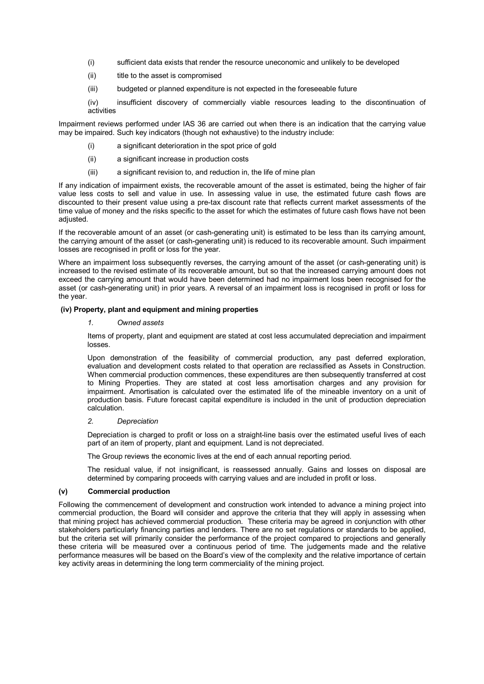- (i) sufficient data exists that render the resource uneconomic and unlikely to be developed
- (ii) title to the asset is compromised
- (iii) budgeted or planned expenditure is not expected in the foreseeable future

(iv) insufficient discovery of commercially viable resources leading to the discontinuation of activities

Impairment reviews performed under IAS 36 are carried out when there is an indication that the carrying value may be impaired. Such key indicators (though not exhaustive) to the industry include:

- (i) a significant deterioration in the spot price of gold
- (ii) a significant increase in production costs
- (iii) a significant revision to, and reduction in, the life of mine plan

If any indication of impairment exists, the recoverable amount of the asset is estimated, being the higher of fair value less costs to sell and value in use. In assessing value in use, the estimated future cash flows are discounted to their present value using a pre-tax discount rate that reflects current market assessments of the time value of money and the risks specific to the asset for which the estimates of future cash flows have not been adjusted.

If the recoverable amount of an asset (or cash-generating unit) is estimated to be less than its carrying amount, the carrying amount of the asset (or cash-generating unit) is reduced to its recoverable amount. Such impairment losses are recognised in profit or loss for the year.

Where an impairment loss subsequently reverses, the carrying amount of the asset (or cash-generating unit) is increased to the revised estimate of its recoverable amount, but so that the increased carrying amount does not exceed the carrying amount that would have been determined had no impairment loss been recognised for the asset (or cash-generating unit) in prior years. A reversal of an impairment loss is recognised in profit or loss for the year.

### **(iv) Property, plant and equipment and mining properties**

### *1. Owned assets*

Items of property, plant and equipment are stated at cost less accumulated depreciation and impairment losses.

Upon demonstration of the feasibility of commercial production, any past deferred exploration, evaluation and development costs related to that operation are reclassified as Assets in Construction. When commercial production commences, these expenditures are then subsequently transferred at cost to Mining Properties. They are stated at cost less amortisation charges and any provision for impairment. Amortisation is calculated over the estimated life of the mineable inventory on a unit of production basis. Future forecast capital expenditure is included in the unit of production depreciation calculation.

### *2. Depreciation*

Depreciation is charged to profit or loss on a straight-line basis over the estimated useful lives of each part of an item of property, plant and equipment. Land is not depreciated.

The Group reviews the economic lives at the end of each annual reporting period.

The residual value, if not insignificant, is reassessed annually. Gains and losses on disposal are determined by comparing proceeds with carrying values and are included in profit or loss.

### **(v) Commercial production**

Following the commencement of development and construction work intended to advance a mining project into commercial production, the Board will consider and approve the criteria that they will apply in assessing when that mining project has achieved commercial production. These criteria may be agreed in conjunction with other stakeholders particularly financing parties and lenders. There are no set regulations or standards to be applied, but the criteria set will primarily consider the performance of the project compared to projections and generally these criteria will be measured over a continuous period of time. The judgements made and the relative performance measures will be based on the Board's view of the complexity and the relative importance of certain key activity areas in determining the long term commerciality of the mining project.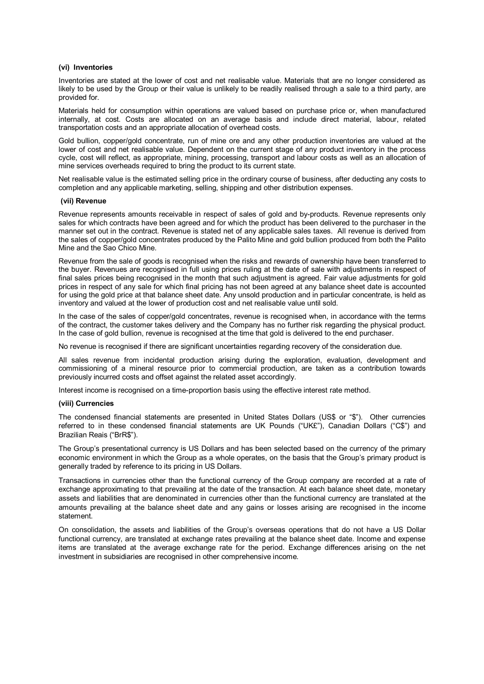#### **(vi) Inventories**

Inventories are stated at the lower of cost and net realisable value. Materials that are no longer considered as likely to be used by the Group or their value is unlikely to be readily realised through a sale to a third party, are provided for.

Materials held for consumption within operations are valued based on purchase price or, when manufactured internally, at cost. Costs are allocated on an average basis and include direct material, labour, related transportation costs and an appropriate allocation of overhead costs.

Gold bullion, copper/gold concentrate, run of mine ore and any other production inventories are valued at the lower of cost and net realisable value. Dependent on the current stage of any product inventory in the process cycle, cost will reflect, as appropriate, mining, processing, transport and labour costs as well as an allocation of mine services overheads required to bring the product to its current state.

Net realisable value is the estimated selling price in the ordinary course of business, after deducting any costs to completion and any applicable marketing, selling, shipping and other distribution expenses.

#### **(vii) Revenue**

Revenue represents amounts receivable in respect of sales of gold and by-products. Revenue represents only sales for which contracts have been agreed and for which the product has been delivered to the purchaser in the manner set out in the contract. Revenue is stated net of any applicable sales taxes. All revenue is derived from the sales of copper/gold concentrates produced by the Palito Mine and gold bullion produced from both the Palito Mine and the Sao Chico Mine.

Revenue from the sale of goods is recognised when the risks and rewards of ownership have been transferred to the buyer. Revenues are recognised in full using prices ruling at the date of sale with adjustments in respect of final sales prices being recognised in the month that such adjustment is agreed. Fair value adjustments for gold prices in respect of any sale for which final pricing has not been agreed at any balance sheet date is accounted for using the gold price at that balance sheet date. Any unsold production and in particular concentrate, is held as inventory and valued at the lower of production cost and net realisable value until sold.

In the case of the sales of copper/gold concentrates, revenue is recognised when, in accordance with the terms of the contract, the customer takes delivery and the Company has no further risk regarding the physical product. In the case of gold bullion, revenue is recognised at the time that gold is delivered to the end purchaser.

No revenue is recognised if there are significant uncertainties regarding recovery of the consideration due.

All sales revenue from incidental production arising during the exploration, evaluation, development and commissioning of a mineral resource prior to commercial production, are taken as a contribution towards previously incurred costs and offset against the related asset accordingly.

Interest income is recognised on a time-proportion basis using the effective interest rate method.

#### **(viii) Currencies**

The condensed financial statements are presented in United States Dollars (US\$ or "\$"). Other currencies referred to in these condensed financial statements are UK Pounds ("UK£"), Canadian Dollars ("C\$") and Brazilian Reais ("BrR\$").

The Group's presentational currency is US Dollars and has been selected based on the currency of the primary economic environment in which the Group as a whole operates, on the basis that the Group's primary product is generally traded by reference to its pricing in US Dollars.

Transactions in currencies other than the functional currency of the Group company are recorded at a rate of exchange approximating to that prevailing at the date of the transaction. At each balance sheet date, monetary assets and liabilities that are denominated in currencies other than the functional currency are translated at the amounts prevailing at the balance sheet date and any gains or losses arising are recognised in the income statement.

On consolidation, the assets and liabilities of the Group's overseas operations that do not have a US Dollar functional currency, are translated at exchange rates prevailing at the balance sheet date. Income and expense items are translated at the average exchange rate for the period. Exchange differences arising on the net investment in subsidiaries are recognised in other comprehensive income.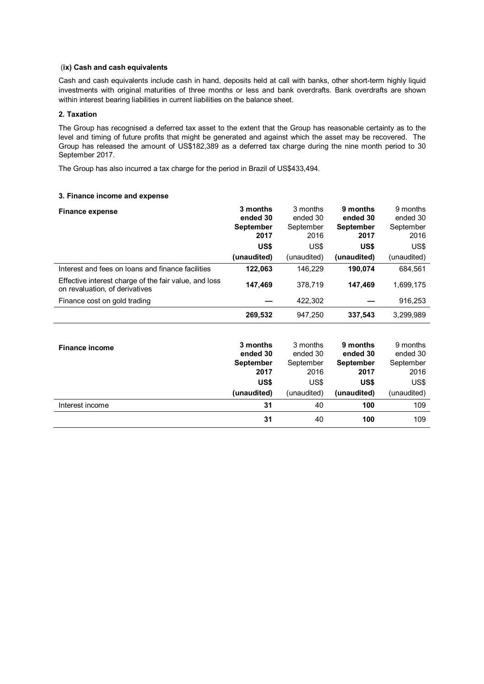### (**ix) Cash and cash equivalents**

Cash and cash equivalents include cash in hand, deposits held at call with banks, other short-term highly liquid investments with original maturities of three months or less and bank overdrafts. Bank overdrafts are shown within interest bearing liabilities in current liabilities on the balance sheet.

### **2. Taxation**

The Group has recognised a deferred tax asset to the extent that the Group has reasonable certainty as to the level and timing of future profits that might be generated and against which the asset may be recovered. The Group has released the amount of US\$182,389 as a deferred tax charge during the nine month period to 30 September 2017.

The Group has also incurred a tax charge for the period in Brazil of US\$433,494.

### **3. Finance income and expense**

| <b>Finance expense</b>                                                                  | 3 months<br>ended 30<br><b>September</b><br>2017<br>US\$ | 3 months<br>ended 30<br>September<br>2016<br>US\$ | 9 months<br>ended 30<br><b>September</b><br>2017<br>US\$ | 9 months<br>ended 30<br>September<br>2016<br>US\$ |
|-----------------------------------------------------------------------------------------|----------------------------------------------------------|---------------------------------------------------|----------------------------------------------------------|---------------------------------------------------|
|                                                                                         | (unaudited)                                              | (unaudited)                                       | (unaudited)                                              | (unaudited)                                       |
| Interest and fees on loans and finance facilities                                       | 122,063                                                  | 146.229                                           | 190.074                                                  | 684,561                                           |
| Effective interest charge of the fair value, and loss<br>on revaluation, of derivatives | 147,469                                                  | 378.719                                           | 147,469                                                  | 1,699,175                                         |
| Finance cost on gold trading                                                            |                                                          | 422,302                                           |                                                          | 916,253                                           |
|                                                                                         | 269,532                                                  | 947,250                                           | 337,543                                                  | 3,299,989                                         |

| <b>Finance income</b> | 3 months<br>ended 30<br><b>September</b> | 3 months<br>ended 30<br>September | 9 months<br>ended 30<br><b>September</b> | 9 months<br>ended 30<br>September |
|-----------------------|------------------------------------------|-----------------------------------|------------------------------------------|-----------------------------------|
|                       | 2017                                     | 2016                              | 2017                                     | 2016                              |
|                       | US\$                                     | US\$                              | US\$                                     | US\$                              |
|                       | (unaudited)                              | (unaudited)                       | (unaudited)                              | (unaudited)                       |
| Interest income       | 31                                       | 40                                | 100                                      | 109                               |
|                       | 31                                       | 40                                | 100                                      | 109                               |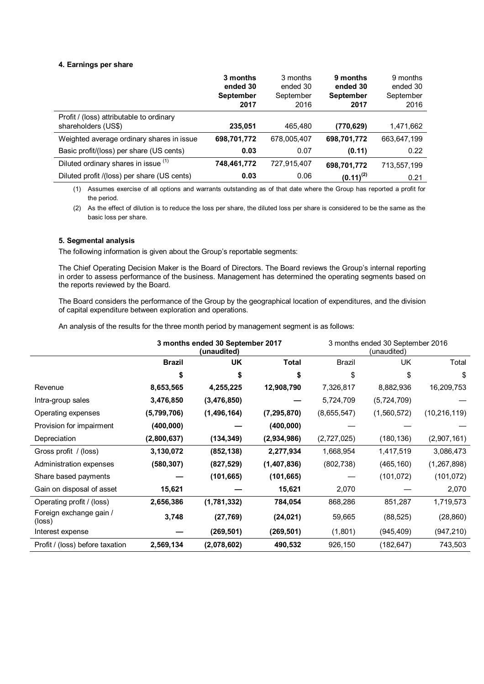### **4. Earnings per share**

|                                                                 | 3 months<br>ended 30<br><b>September</b> | 3 months<br>ended 30<br>September | 9 months<br>ended 30<br><b>September</b> | 9 months<br>ended 30<br>September |
|-----------------------------------------------------------------|------------------------------------------|-----------------------------------|------------------------------------------|-----------------------------------|
|                                                                 | 2017                                     | 2016                              | 2017                                     | 2016                              |
| Profit / (loss) attributable to ordinary<br>shareholders (US\$) | 235,051                                  | 465.480                           | (770, 629)                               | 1,471,662                         |
| Weighted average ordinary shares in issue                       | 698,701,772                              | 678,005,407                       | 698,701,772                              | 663,647,199                       |
| Basic profit/(loss) per share (US cents)                        | 0.03                                     | 0.07                              | (0.11)                                   | 0.22                              |
| Diluted ordinary shares in issue (1)                            | 748,461,772                              | 727,915,407                       | 698,701,772                              | 713,557,199                       |
| Diluted profit /(loss) per share (US cents)                     | 0.03                                     | 0.06                              | $(0.11)^{(2)}$                           | 0.21                              |

(1) Assumes exercise of all options and warrants outstanding as of that date where the Group has reported a profit for the period.

(2) As the effect of dilution is to reduce the loss per share, the diluted loss per share is considered to be the same as the basic loss per share.

### **5. Segmental analysis**

The following information is given about the Group's reportable segments:

The Chief Operating Decision Maker is the Board of Directors. The Board reviews the Group's internal reporting in order to assess performance of the business. Management has determined the operating segments based on the reports reviewed by the Board.

The Board considers the performance of the Group by the geographical location of expenditures, and the division of capital expenditure between exploration and operations.

An analysis of the results for the three month period by management segment is as follows:

|                                   | 3 months ended 30 September 2017<br>(unaudited) |             |               | 3 months ended 30 September 2016<br>(unaudited) |             |                |
|-----------------------------------|-------------------------------------------------|-------------|---------------|-------------------------------------------------|-------------|----------------|
|                                   | <b>Brazil</b>                                   | <b>UK</b>   | Total         | Brazil                                          | <b>UK</b>   | Total          |
|                                   | \$                                              | \$          | \$            | \$                                              | \$          | \$             |
| Revenue                           | 8,653,565                                       | 4,255,225   | 12,908,790    | 7,326,817                                       | 8,882,936   | 16,209,753     |
| Intra-group sales                 | 3,476,850                                       | (3,476,850) |               | 5,724,709                                       | (5,724,709) |                |
| Operating expenses                | (5,799,706)                                     | (1,496,164) | (7, 295, 870) | (8,655,547)                                     | (1,560,572) | (10, 216, 119) |
| Provision for impairment          | (400, 000)                                      |             | (400, 000)    |                                                 |             |                |
| Depreciation                      | (2,800,637)                                     | (134, 349)  | (2,934,986)   | (2,727,025)                                     | (180, 136)  | (2,907,161)    |
| Gross profit / (loss)             | 3,130,072                                       | (852, 138)  | 2,277,934     | 1,668,954                                       | 1,417,519   | 3,086,473      |
| Administration expenses           | (580, 307)                                      | (827, 529)  | (1,407,836)   | (802, 738)                                      | (465, 160)  | (1, 267, 898)  |
| Share based payments              |                                                 | (101, 665)  | (101, 665)    |                                                 | (101, 072)  | (101, 072)     |
| Gain on disposal of asset         | 15,621                                          |             | 15,621        | 2,070                                           |             | 2,070          |
| Operating profit / (loss)         | 2,656,386                                       | (1,781,332) | 784,054       | 868,286                                         | 851,287     | 1,719,573      |
| Foreign exchange gain /<br>(loss) | 3,748                                           | (27, 769)   | (24, 021)     | 59,665                                          | (88, 525)   | (28, 860)      |
| Interest expense                  |                                                 | (269, 501)  | (269, 501)    | (1,801)                                         | (945, 409)  | (947, 210)     |
| Profit / (loss) before taxation   | 2,569,134                                       | (2,078,602) | 490,532       | 926,150                                         | (182, 647)  | 743,503        |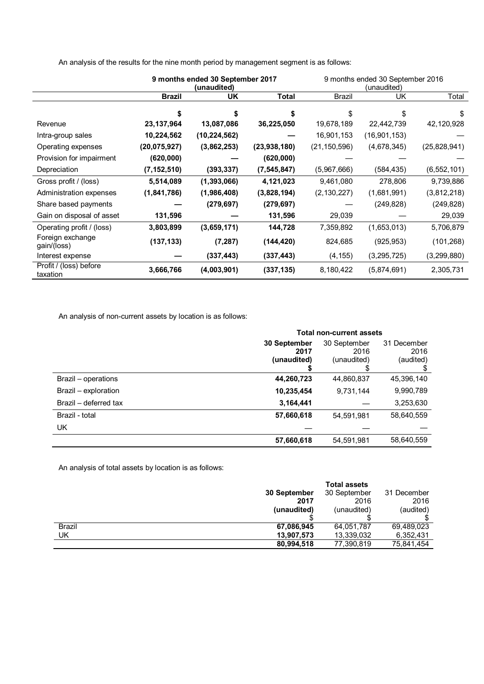|                                    | 9 months ended 30 September 2017<br>(unaudited) |                |               | 9 months ended 30 September 2016<br>(unaudited) |              |               |
|------------------------------------|-------------------------------------------------|----------------|---------------|-------------------------------------------------|--------------|---------------|
|                                    | <b>Brazil</b>                                   | UK             | <b>Total</b>  | <b>Brazil</b>                                   | UK           | Total         |
|                                    | \$                                              | \$             | \$            | \$                                              | \$           | \$            |
| Revenue                            | 23, 137, 964                                    | 13,087,086     | 36,225,050    | 19,678,189                                      | 22,442,739   | 42,120,928    |
| Intra-group sales                  | 10,224,562                                      | (10, 224, 562) |               | 16,901,153                                      | (16,901,153) |               |
| Operating expenses                 | (20, 075, 927)                                  | (3,862,253)    | (23,938,180)  | (21, 150, 596)                                  | (4,678,345)  | (25,828,941)  |
| Provision for impairment           | (620, 000)                                      |                | (620,000)     |                                                 |              |               |
| Depreciation                       | (7, 152, 510)                                   | (393, 337)     | (7, 545, 847) | (5,967,666)                                     | (584, 435)   | (6, 552, 101) |
| Gross profit / (loss)              | 5,514,089                                       | (1, 393, 066)  | 4,121,023     | 9,461,080                                       | 278,806      | 9,739,886     |
| Administration expenses            | (1,841,786)                                     | (1,986,408)    | (3,828,194)   | (2, 130, 227)                                   | (1,681,991)  | (3,812,218)   |
| Share based payments               |                                                 | (279, 697)     | (279, 697)    |                                                 | (249, 828)   | (249, 828)    |
| Gain on disposal of asset          | 131,596                                         |                | 131,596       | 29,039                                          |              | 29,039        |
| Operating profit / (loss)          | 3,803,899                                       | (3,659,171)    | 144,728       | 7,359,892                                       | (1,653,013)  | 5,706,879     |
| Foreign exchange<br>gain/(loss)    | (137, 133)                                      | (7, 287)       | (144, 420)    | 824,685                                         | (925, 953)   | (101, 268)    |
| Interest expense                   |                                                 | (337, 443)     | (337, 443)    | (4, 155)                                        | (3,295,725)  | (3,299,880)   |
| Profit / (loss) before<br>taxation | 3,666,766                                       | (4,003,901)    | (337, 135)    | 8,180,422                                       | (5,874,691)  | 2,305,731     |

An analysis of the results for the nine month period by management segment is as follows:

An analysis of non-current assets by location is as follows:

|                       | <b>Total non-current assets</b> |              |             |  |
|-----------------------|---------------------------------|--------------|-------------|--|
|                       | 30 September                    | 30 September | 31 December |  |
|                       | 2017                            | 2016         | 2016        |  |
|                       | (unaudited)                     | (unaudited)  | (audited)   |  |
|                       |                                 |              |             |  |
| Brazil – operations   | 44,260,723                      | 44,860,837   | 45,396,140  |  |
| Brazil - exploration  | 10,235,454                      | 9,731,144    | 9,990,789   |  |
| Brazil - deferred tax | 3,164,441                       |              | 3,253,630   |  |
| Brazil - total        | 57,660,618                      | 54,591,981   | 58,640,559  |  |
| UK                    |                                 |              |             |  |
|                       | 57,660,618                      | 54,591,981   | 58,640,559  |  |

An analysis of total assets by location is as follows:

|        |              | <b>Total assets</b> |             |
|--------|--------------|---------------------|-------------|
|        | 30 September | 30 September        | 31 December |
|        | 2017         | 2016                | 2016        |
|        | (unaudited)  | (unaudited)         | (audited)   |
|        |              |                     |             |
| Brazil | 67,086,945   | 64,051,787          | 69,489,023  |
| UK     | 13,907,573   | 13,339,032          | 6,352,431   |
|        | 80,994,518   | 77,390,819          | 75,841,454  |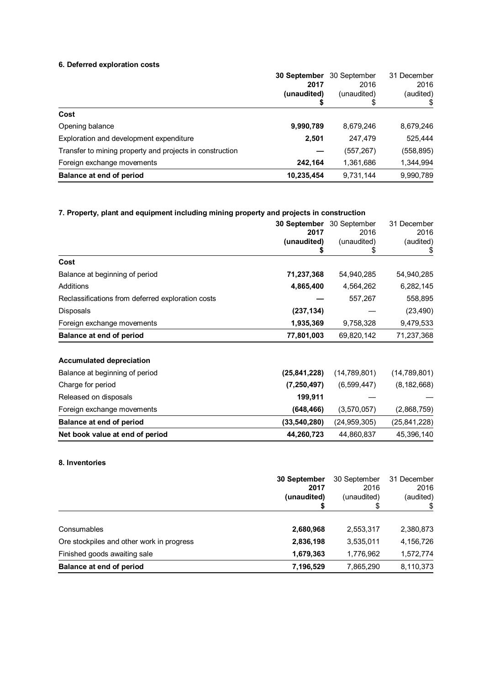## **6. Deferred exploration costs**

| 30 September | 30 September | 31 December |
|--------------|--------------|-------------|
| 2017         | 2016         | 2016        |
| (unaudited)  | (unaudited)  | (audited)   |
|              | \$           |             |
|              |              |             |
| 9,990,789    | 8,679,246    | 8,679,246   |
| 2,501        | 247,479      | 525,444     |
|              | (557, 267)   | (558, 895)  |
| 242,164      | 1,361,686    | 1,344,994   |
| 10,235,454   | 9,731,144    | 9,990,789   |
|              |              |             |

# **7. Property, plant and equipment including mining property and projects in construction**

|                                                   | 30 September   | 30 September   | 31 December    |
|---------------------------------------------------|----------------|----------------|----------------|
|                                                   | 2017           | 2016           | 2016           |
|                                                   | (unaudited)    | (unaudited)    | (audited)      |
|                                                   | S              | \$             | \$             |
| Cost                                              |                |                |                |
| Balance at beginning of period                    | 71,237,368     | 54,940,285     | 54,940,285     |
| Additions                                         | 4,865,400      | 4,564,262      | 6,282,145      |
| Reclassifications from deferred exploration costs |                | 557,267        | 558,895        |
| Disposals                                         | (237, 134)     |                | (23, 490)      |
| Foreign exchange movements                        | 1,935,369      | 9,758,328      | 9,479,533      |
| <b>Balance at end of period</b>                   | 77,801,003     | 69,820,142     | 71,237,368     |
| <b>Accumulated depreciation</b>                   |                |                |                |
| Balance at beginning of period                    | (25, 841, 228) | (14, 789, 801) | (14,789,801)   |
| Charge for period                                 | (7, 250, 497)  | (6,599,447)    | (8, 182, 668)  |
| Released on disposals                             | 199,911        |                |                |
| Foreign exchange movements                        | (648, 466)     | (3,570,057)    | (2,868,759)    |
| <b>Balance at end of period</b>                   | (33, 540, 280) | (24, 959, 305) | (25, 841, 228) |
| Net book value at end of period                   | 44,260,723     | 44,860,837     | 45,396,140     |

## **8. Inventories**

|                                           | 30 September<br>2017<br>(unaudited)<br>S | 30 September<br>2016<br>(unaudited)<br>S | 31 December<br>2016<br>(audited) |
|-------------------------------------------|------------------------------------------|------------------------------------------|----------------------------------|
| Consumables                               | 2,680,968                                | 2,553,317                                | 2,380,873                        |
| Ore stockpiles and other work in progress | 2,836,198                                | 3,535,011                                | 4,156,726                        |
| Finished goods awaiting sale              | 1,679,363                                | 1,776,962                                | 1,572,774                        |
| Balance at end of period                  | 7,196,529                                | 7,865,290                                | 8,110,373                        |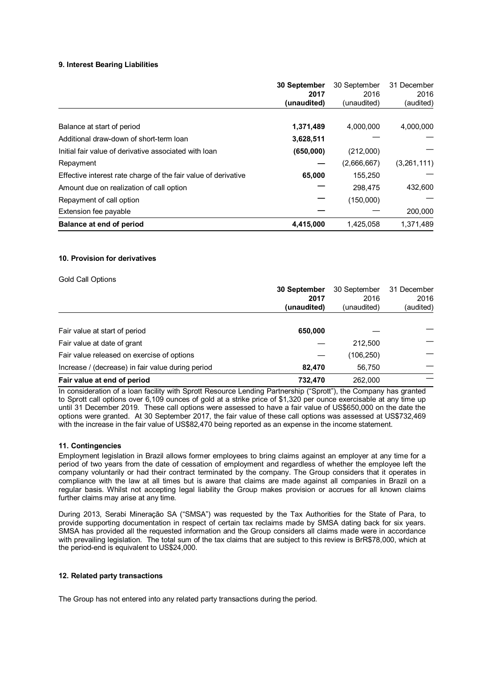### **9. Interest Bearing Liabilities**

|                                                                | 30 September<br>2017 | 30 September<br>2016 | 31 December<br>2016 |
|----------------------------------------------------------------|----------------------|----------------------|---------------------|
|                                                                | (unaudited)          | (unaudited)          | (audited)           |
| Balance at start of period                                     | 1,371,489            | 4,000,000            | 4,000,000           |
| Additional draw-down of short-term loan                        | 3,628,511            |                      |                     |
| Initial fair value of derivative associated with loan          | (650,000)            | (212,000)            |                     |
| Repayment                                                      |                      | (2,666,667)          | (3,261,111)         |
| Effective interest rate charge of the fair value of derivative | 65,000               | 155,250              |                     |
| Amount due on realization of call option                       |                      | 298.475              | 432,600             |
| Repayment of call option                                       |                      | (150,000)            |                     |
| Extension fee payable                                          |                      |                      | 200,000             |
| Balance at end of period                                       | 4,415,000            | 1,425,058            | 1.371.489           |

### **10. Provision for derivatives**

| <b>Gold Call Options</b>                          |              |              |             |
|---------------------------------------------------|--------------|--------------|-------------|
|                                                   | 30 September | 30 September | 31 December |
|                                                   | 2017         | 2016         | 2016        |
|                                                   | (unaudited)  | (unaudited)  | (audited)   |
|                                                   |              |              |             |
| Fair value at start of period                     | 650,000      |              |             |
| Fair value at date of grant                       |              | 212.500      |             |
| Fair value released on exercise of options        |              | (106,250)    |             |
| Increase / (decrease) in fair value during period | 82.470       | 56,750       |             |
| Fair value at end of period                       | 732,470      | 262.000      |             |

In consideration of a loan facility with Sprott Resource Lending Partnership ("Sprott"), the Company has granted to Sprott call options over 6,109 ounces of gold at a strike price of \$1,320 per ounce exercisable at any time up until 31 December 2019. These call options were assessed to have a fair value of US\$650,000 on the date the options were granted. At 30 September 2017, the fair value of these call options was assessed at US\$732,469 with the increase in the fair value of US\$82,470 being reported as an expense in the income statement.

### **11. Contingencies**

Employment legislation in Brazil allows former employees to bring claims against an employer at any time for a period of two years from the date of cessation of employment and regardless of whether the employee left the company voluntarily or had their contract terminated by the company. The Group considers that it operates in compliance with the law at all times but is aware that claims are made against all companies in Brazil on a regular basis. Whilst not accepting legal liability the Group makes provision or accrues for all known claims further claims may arise at any time.

During 2013, Serabi Mineração SA ("SMSA") was requested by the Tax Authorities for the State of Para, to provide supporting documentation in respect of certain tax reclaims made by SMSA dating back for six years. SMSA has provided all the requested information and the Group considers all claims made were in accordance with prevailing legislation. The total sum of the tax claims that are subject to this review is BrR\$78,000, which at the period-end is equivalent to US\$24,000.

### **12. Related party transactions**

The Group has not entered into any related party transactions during the period.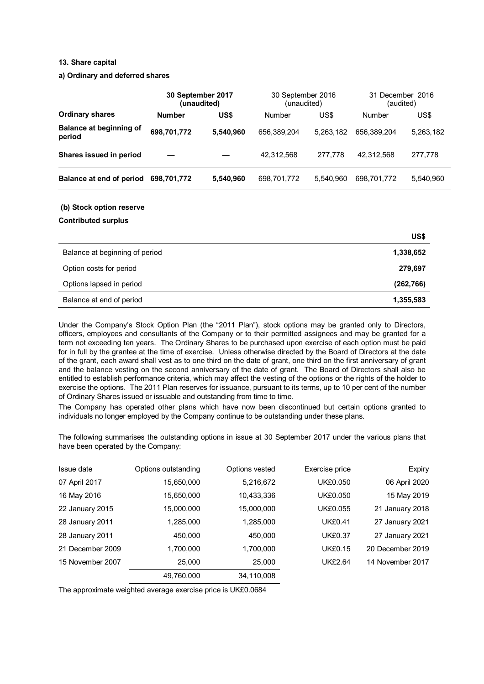### **13. Share capital**

### **a) Ordinary and deferred shares**

|                                          | 30 September 2017<br>(unaudited) |           | 30 September 2016<br>(unaudited) |           | 31 December 2016<br>(audited) |           |
|------------------------------------------|----------------------------------|-----------|----------------------------------|-----------|-------------------------------|-----------|
| <b>Ordinary shares</b>                   | <b>Number</b>                    | US\$      | <b>Number</b>                    | US\$      | <b>Number</b>                 | US\$      |
| <b>Balance at beginning of</b><br>period | 698,701,772                      | 5,540,960 | 656,389,204                      | 5,263,182 | 656,389,204                   | 5,263,182 |
| Shares issued in period                  |                                  |           | 42,312,568                       | 277,778   | 42,312,568                    | 277,778   |
| Balance at end of period                 | 698,701,772                      | 5,540,960 | 698,701,772                      | 5,540,960 | 698,701,772                   | 5,540,960 |
| (b) Stock option reserve                 |                                  |           |                                  |           |                               |           |
| <b>Contributed surplus</b>               |                                  |           |                                  |           |                               |           |
|                                          |                                  |           |                                  |           |                               | US\$      |
| Balance at beginning of period           |                                  |           |                                  |           |                               | 1,338,652 |
| Option costs for period                  |                                  |           |                                  |           |                               | 279,697   |

Balance at end of period **1,355,583**  Under the Company's Stock Option Plan (the "2011 Plan"), stock options may be granted only to Directors, officers, employees and consultants of the Company or to their permitted assignees and may be granted for a term not exceeding ten years. The Ordinary Shares to be purchased upon exercise of each option must be paid for in full by the grantee at the time of exercise. Unless otherwise directed by the Board of Directors at the date of the grant, each award shall vest as to one third on the date of grant, one third on the first anniversary of grant and the balance vesting on the second anniversary of the date of grant. The Board of Directors shall also be entitled to establish performance criteria, which may affect the vesting of the options or the rights of the holder to exercise the options. The 2011 Plan reserves for issuance, pursuant to its terms, up to 10 per cent of the number

Options lapsed in period **(262,766)** 

of Ordinary Shares issued or issuable and outstanding from time to time. The Company has operated other plans which have now been discontinued but certain options granted to individuals no longer employed by the Company continue to be outstanding under these plans.

The following summarises the outstanding options in issue at 30 September 2017 under the various plans that have been operated by the Company:

| Issue date       | Options outstanding | Options vested | Exercise price  | Expiry           |
|------------------|---------------------|----------------|-----------------|------------------|
| 07 April 2017    | 15,650,000          | 5,216,672      | <b>UK£0.050</b> | 06 April 2020    |
| 16 May 2016      | 15,650,000          | 10,433,336     | <b>UK£0.050</b> | 15 May 2019      |
| 22 January 2015  | 15,000,000          | 15,000,000     | <b>UK£0.055</b> | 21 January 2018  |
| 28 January 2011  | 1,285,000           | 1,285,000      | <b>UK£0.41</b>  | 27 January 2021  |
| 28 January 2011  | 450,000             | 450.000        | <b>UK£0.37</b>  | 27 January 2021  |
| 21 December 2009 | 1,700,000           | 1,700,000      | <b>UK£0.15</b>  | 20 December 2019 |
| 15 November 2007 | 25,000              | 25,000         | <b>UK£2.64</b>  | 14 November 2017 |
|                  | 49,760,000          | 34,110,008     |                 |                  |

The approximate weighted average exercise price is UK£0.0684